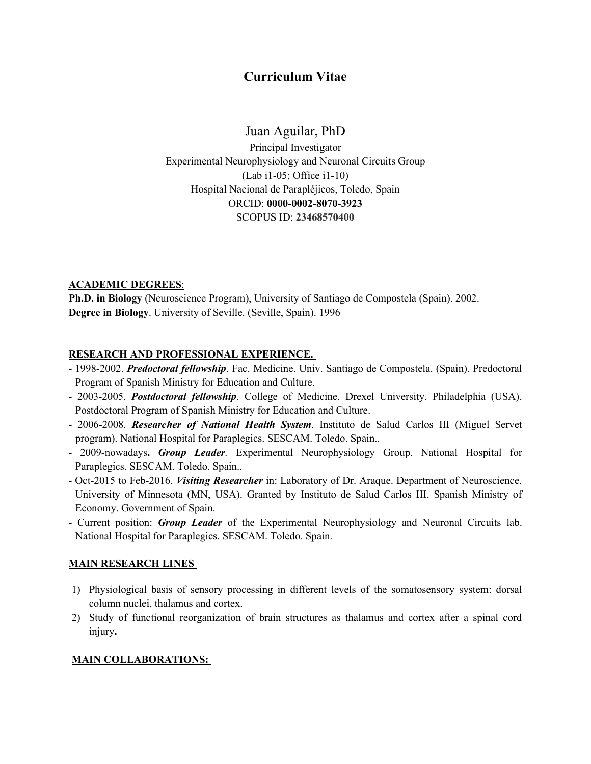# Curriculum Vitae

# Juan Aguilar, PhD

Principal Investigator Experimental Neurophysiology and Neuronal Circuits Group (Lab i1-05; Office i1-10) Hospital Nacional de Parapléjicos, Toledo, Spain ORCID: 0000-0002-8070-3923 SCOPUS ID: 23468570400

# **ACADEMIC DEGREES:**

Ph.D. in Biology (Neuroscience Program), University of Santiago de Compostela (Spain). 2002. Degree in Biology. University of Seville. (Seville, Spain). 1996

# RESEARCH AND PROFESSIONAL EXPERIENCE.

- 1998-2002. Predoctoral fellowship. Fac. Medicine. Univ. Santiago de Compostela. (Spain). Predoctoral Program of Spanish Ministry for Education and Culture.
- 2003-2005. Postdoctoral fellowship. College of Medicine. Drexel University. Philadelphia (USA). Postdoctoral Program of Spanish Ministry for Education and Culture.
- 2006-2008. Researcher of National Health System. Instituto de Salud Carlos III (Miguel Servet program). National Hospital for Paraplegics. SESCAM. Toledo. Spain..
- 2009-nowadays. Group Leader. Experimental Neurophysiology Group. National Hospital for Paraplegics. SESCAM. Toledo. Spain..
- Oct-2015 to Feb-2016. *Visiting Researcher* in: Laboratory of Dr. Araque. Department of Neuroscience. University of Minnesota (MN, USA). Granted by Instituto de Salud Carlos III. Spanish Ministry of Economy. Government of Spain.
- Current position: **Group Leader** of the Experimental Neurophysiology and Neuronal Circuits lab. National Hospital for Paraplegics. SESCAM. Toledo. Spain.

# MAIN RESEARCH LINES

- 1) Physiological basis of sensory processing in different levels of the somatosensory system: dorsal column nuclei, thalamus and cortex.
- 2) Study of functional reorganization of brain structures as thalamus and cortex after a spinal cord injury.

# MAIN COLLABORATIONS: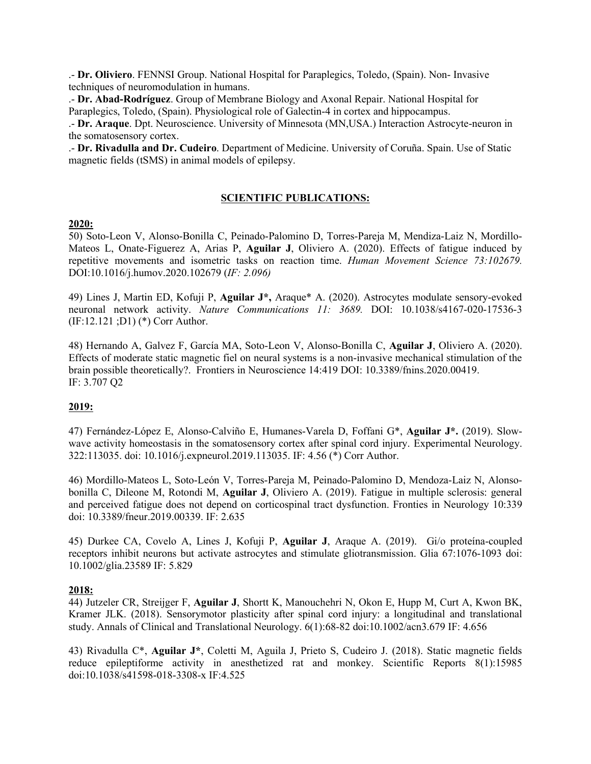.- Dr. Oliviero. FENNSI Group. National Hospital for Paraplegics, Toledo, (Spain). Non- Invasive techniques of neuromodulation in humans.

.- Dr. Abad-Rodríguez. Group of Membrane Biology and Axonal Repair. National Hospital for Paraplegics, Toledo, (Spain). Physiological role of Galectin-4 in cortex and hippocampus.

.- Dr. Araque. Dpt. Neuroscience. University of Minnesota (MN,USA.) Interaction Astrocyte-neuron in the somatosensory cortex.

.- Dr. Rivadulla and Dr. Cudeiro. Department of Medicine. University of Coruña. Spain. Use of Static magnetic fields (tSMS) in animal models of epilepsy.

# SCIENTIFIC PUBLICATIONS:

#### 2020:

50) Soto-Leon V, Alonso-Bonilla C, Peinado-Palomino D, Torres-Pareja M, Mendiza-Laiz N, Mordillo-Mateos L, Onate-Figuerez A, Arias P, Aguilar J, Oliviero A. (2020). Effects of fatigue induced by repetitive movements and isometric tasks on reaction time. Human Movement Science 73:102679. DOI:10.1016/j.humov.2020.102679 (IF: 2.096)

49) Lines J, Martin ED, Kofuji P, Aguilar J\*, Araque\* A. (2020). Astrocytes modulate sensory-evoked neuronal network activity. Nature Communications 11: 3689. DOI: 10.1038/s4167-020-17536-3 (IF:12.121 ;D1) (\*) Corr Author.

48) Hernando A, Galvez F, García MA, Soto-Leon V, Alonso-Bonilla C, Aguilar J, Oliviero A. (2020). Effects of moderate static magnetic fiel on neural systems is a non-invasive mechanical stimulation of the brain possible theoretically?. Frontiers in Neuroscience 14:419 DOI: 10.3389/fnins.2020.00419. IF: 3.707 Q2

# 2019:

47) Fernández-López E, Alonso-Calviño E, Humanes-Varela D, Foffani G\*, Aguilar J\*. (2019). Slowwave activity homeostasis in the somatosensory cortex after spinal cord injury. Experimental Neurology. 322:113035. doi: 10.1016/j.expneurol.2019.113035. IF: 4.56 (\*) Corr Author.

46) Mordillo-Mateos L, Soto-León V, Torres-Pareja M, Peinado-Palomino D, Mendoza-Laiz N, Alonsobonilla C, Dileone M, Rotondi M, Aguilar J, Oliviero A. (2019). Fatigue in multiple sclerosis: general and perceived fatigue does not depend on corticospinal tract dysfunction. Fronties in Neurology 10:339 doi: 10.3389/fneur.2019.00339. IF: 2.635

45) Durkee CA, Covelo A, Lines J, Kofuji P, Aguilar J, Araque A. (2019). Gi/o proteína-coupled receptors inhibit neurons but activate astrocytes and stimulate gliotransmission. Glia 67:1076-1093 doi: 10.1002/glia.23589 IF: 5.829

## 2018:

44) Jutzeler CR, Streijger F, Aguilar J, Shortt K, Manouchehri N, Okon E, Hupp M, Curt A, Kwon BK, Kramer JLK. (2018). Sensorymotor plasticity after spinal cord injury: a longitudinal and translational study. Annals of Clinical and Translational Neurology. 6(1):68-82 doi:10.1002/acn3.679 IF: 4.656

43) Rivadulla C\*, Aguilar J\*, Coletti M, Aguila J, Prieto S, Cudeiro J. (2018). Static magnetic fields reduce epileptiforme activity in anesthetized rat and monkey. Scientific Reports 8(1):15985 doi:10.1038/s41598-018-3308-x IF:4.525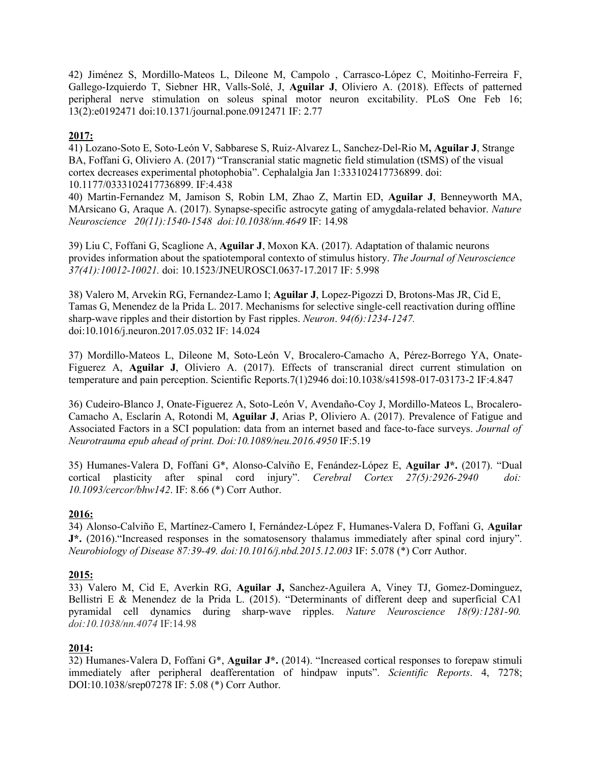42) Jiménez S, Mordillo-Mateos L, Dileone M, Campolo , Carrasco-López C, Moitinho-Ferreira F, Gallego-Izquierdo T, Siebner HR, Valls-Solé, J, Aguilar J, Oliviero A. (2018). Effects of patterned peripheral nerve stimulation on soleus spinal motor neuron excitability. PLoS One Feb 16; 13(2):e0192471 doi:10.1371/journal.pone.0912471 IF: 2.77

# 2017:

41) Lozano-Soto E, Soto-León V, Sabbarese S, Ruiz-Alvarez L, Sanchez-Del-Rio M, Aguilar J, Strange BA, Foffani G, Oliviero A. (2017) "Transcranial static magnetic field stimulation (tSMS) of the visual cortex decreases experimental photophobia". Cephalalgia Jan 1:333102417736899. doi: 10.1177/0333102417736899. IF:4.438

40) Martin-Fernandez M, Jamison S, Robin LM, Zhao Z, Martin ED, Aguilar J, Benneyworth MA, MArsicano G, Araque A. (2017). Synapse-specific astrocyte gating of amygdala-related behavior. Nature Neuroscience 20(11):1540-1548 doi:10.1038/nn.4649 IF: 14.98

39) Liu C, Foffani G, Scaglione A, Aguilar J, Moxon KA. (2017). Adaptation of thalamic neurons provides information about the spatiotemporal contexto of stimulus history. The Journal of Neuroscience 37(41):10012-10021. doi: 10.1523/JNEUROSCI.0637-17.2017 IF: 5.998

38) Valero M, Arvekin RG, Fernandez-Lamo I; Aguilar J, Lopez-Pigozzi D, Brotons-Mas JR, Cid E, Tamas G, Menendez de la Prida L. 2017. Mechanisms for selective single-cell reactivation during offline sharp-wave ripples and their distortion by Fast ripples. Neuron. 94(6):1234-1247. doi:10.1016/j.neuron.2017.05.032 IF: 14.024

37) Mordillo-Mateos L, Dileone M, Soto-León V, Brocalero-Camacho A, Pérez-Borrego YA, Onate-Figuerez A, **Aguilar J**, Oliviero A. (2017). Effects of transcranial direct current stimulation on temperature and pain perception. Scientific Reports.7(1)2946 doi:10.1038/s41598-017-03173-2 IF:4.847

36) Cudeiro-Blanco J, Onate-Figuerez A, Soto-León V, Avendaño-Coy J, Mordillo-Mateos L, Brocalero-Camacho A, Esclarín A, Rotondi M, Aguilar J, Arias P, Oliviero A. (2017). Prevalence of Fatigue and Associated Factors in a SCI population: data from an internet based and face-to-face surveys. Journal of Neurotrauma epub ahead of print. Doi:10.1089/neu.2016.4950 IF:5.19

35) Humanes-Valera D, Foffani G\*, Alonso-Calviño E, Fenández-López E, Aguilar J\*. (2017). "Dual cortical plasticity after spinal cord injury". Cerebral Cortex 27(5):2926-2940 doi: 10.1093/cercor/bhw142. IF: 8.66 (\*) Corr Author.

## 2016:

34) Alonso-Calviño E, Martínez-Camero I, Fernández-López F, Humanes-Valera D, Foffani G, Aguilar J\*. (2016)."Increased responses in the somatosensory thalamus immediately after spinal cord injury". Neurobiology of Disease 87:39-49. doi:10.1016/j.nbd.2015.12.003 IF: 5.078 (\*) Corr Author.

## 2015:

33) Valero M, Cid E, Averkin RG, Aguilar J, Sanchez-Aguilera A, Viney TJ, Gomez-Dominguez, Bellistri E & Menendez de la Prida L. (2015). "Determinants of different deep and superficial CA1 pyramidal cell dynamics during sharp-wave ripples. Nature Neuroscience 18(9):1281-90. doi:10.1038/nn.4074 IF:14.98

## 2014:

32) Humanes-Valera D, Foffani G\*, Aguilar J\*. (2014). "Increased cortical responses to forepaw stimuli immediately after peripheral deafferentation of hindpaw inputs". Scientific Reports. 4, 7278; DOI:10.1038/srep07278 IF: 5.08 (\*) Corr Author.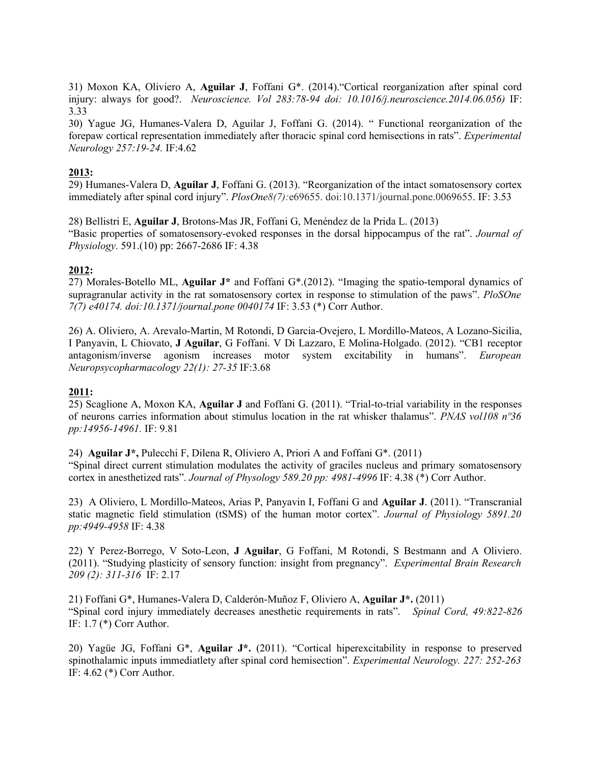31) Moxon KA, Oliviero A, Aguilar J, Foffani G\*. (2014)."Cortical reorganization after spinal cord injury: always for good?. Neuroscience. Vol 283:78-94 doi:  $10.1016/j.$ neuroscience.2014.06.056) IF: 3.33

30) Yague JG, Humanes-Valera D, Aguilar J, Foffani G. (2014). " Functional reorganization of the forepaw cortical representation immediately after thoracic spinal cord hemisections in rats". Experimental Neurology 257:19-24. IF:4.62

# 2013:

29) Humanes-Valera D, Aguilar J, Foffani G. (2013). "Reorganization of the intact somatosensory cortex immediately after spinal cord injury". PlosOne8(7):e69655. doi:10.1371/journal.pone.0069655. IF: 3.53

28) Bellistri E, Aguilar J, Brotons-Mas JR, Foffani G, Menéndez de la Prida L. (2013) "Basic properties of somatosensory-evoked responses in the dorsal hippocampus of the rat". Journal of Physiology. 591.(10) pp: 2667-2686 IF: 4.38

# 2012:

27) Morales-Botello ML, Aguilar J\* and Foffani G\*.(2012). "Imaging the spatio-temporal dynamics of supragranular activity in the rat somatosensory cortex in response to stimulation of the paws". PloSOne 7(7) e40174. doi:10.1371/journal.pone 0040174 IF: 3.53 (\*) Corr Author.

26) A. Oliviero, A. Arevalo-Martin, M Rotondi, D Garcia-Ovejero, L Mordillo-Mateos, A Lozano-Sicilia, I Panyavin, L Chiovato, J Aguilar, G Foffani. V Di Lazzaro, E Molina-Holgado. (2012). "CB1 receptor antagonism/inverse agonism increases motor system excitability in humans". European Neuropsycopharmacology 22(1): 27-35 IF:3.68

## 2011:

25) Scaglione A, Moxon KA, Aguilar J and Foffani G. (2011). "Trial-to-trial variability in the responses of neurons carries information about stimulus location in the rat whisker thalamus". PNAS vol108 nº36 pp:14956-14961. IF: 9.81

24) Aguilar J\*, Pulecchi F, Dilena R, Oliviero A, Priori A and Foffani G\*. (2011)

"Spinal direct current stimulation modulates the activity of graciles nucleus and primary somatosensory cortex in anesthetized rats". Journal of Physology 589.20 pp: 4981-4996 IF: 4.38 (\*) Corr Author.

23) A Oliviero, L Mordillo-Mateos, Arias P, Panyavin I, Foffani G and Aguilar J. (2011). "Transcranial static magnetic field stimulation (tSMS) of the human motor cortex". Journal of Physiology 5891.20 pp:4949-4958 IF: 4.38

22) Y Perez-Borrego, V Soto-Leon, J Aguilar, G Foffani, M Rotondi, S Bestmann and A Oliviero. (2011). "Studying plasticity of sensory function: insight from pregnancy". Experimental Brain Research 209 (2): 311-316 IF: 2.17

21) Foffani G\*, Humanes-Valera D, Calderón-Muñoz F, Oliviero A, Aguilar J\*. (2011) "Spinal cord injury immediately decreases anesthetic requirements in rats". Spinal Cord, 49:822-826 IF: 1.7 (\*) Corr Author.

20) Yagüe JG, Foffani G\*, Aguilar J\*. (2011). "Cortical hiperexcitability in response to preserved spinothalamic inputs immediatlety after spinal cord hemisection". Experimental Neurology. 227: 252-263 IF: 4.62 (\*) Corr Author.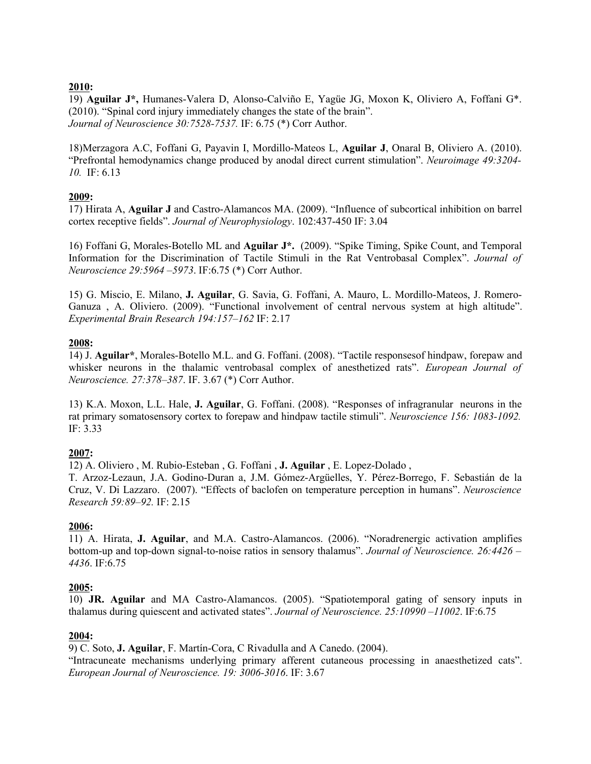# 2010:

19) Aguilar J\*, Humanes-Valera D, Alonso-Calviño E, Yagüe JG, Moxon K, Oliviero A, Foffani G\*. (2010). "Spinal cord injury immediately changes the state of the brain". Journal of Neuroscience 30:7528-7537. IF: 6.75 (\*) Corr Author.

18)Merzagora A.C, Foffani G, Payavin I, Mordillo-Mateos L, Aguilar J, Onaral B, Oliviero A. (2010). "Prefrontal hemodynamics change produced by anodal direct current stimulation". Neuroimage 49:3204- 10. IF: 6.13

# 2009:

17) Hirata A, Aguilar J and Castro-Alamancos MA. (2009). "Influence of subcortical inhibition on barrel cortex receptive fields". Journal of Neurophysiology. 102:437-450 IF: 3.04

16) Foffani G, Morales-Botello ML and Aguilar J\*. (2009). "Spike Timing, Spike Count, and Temporal Information for the Discrimination of Tactile Stimuli in the Rat Ventrobasal Complex". Journal of Neuroscience 29:5964 –5973. IF:6.75 (\*) Corr Author.

15) G. Miscio, E. Milano, J. Aguilar, G. Savia, G. Foffani, A. Mauro, L. Mordillo-Mateos, J. Romero-Ganuza , A. Oliviero. (2009). "Functional involvement of central nervous system at high altitude". Experimental Brain Research 194:157–162 IF: 2.17

# 2008:

14) J. Aguilar\*, Morales-Botello M.L. and G. Foffani. (2008). "Tactile responsesof hindpaw, forepaw and whisker neurons in the thalamic ventrobasal complex of anesthetized rats". *European Journal of* Neuroscience. 27:378–387. IF. 3.67 (\*) Corr Author.

13) K.A. Moxon, L.L. Hale, J. Aguilar, G. Foffani. (2008). "Responses of infragranular neurons in the rat primary somatosensory cortex to forepaw and hindpaw tactile stimuli". Neuroscience 156: 1083-1092. IF: 3.33

# 2007:

12) A. Oliviero , M. Rubio-Esteban , G. Foffani , J. Aguilar , E. Lopez-Dolado ,

T. Arzoz-Lezaun, J.A. Godino-Duran a, J.M. Gómez-Argüelles, Y. Pérez-Borrego, F. Sebastián de la Cruz, V. Di Lazzaro. (2007). "Effects of baclofen on temperature perception in humans". Neuroscience Research 59:89–92. IF: 2.15

# 2006:

11) A. Hirata, J. Aguilar, and M.A. Castro-Alamancos. (2006). "Noradrenergic activation amplifies bottom-up and top-down signal-to-noise ratios in sensory thalamus". Journal of Neuroscience. 26:4426 – 4436. IF:6.75

# 2005:

10) JR. Aguilar and MA Castro-Alamancos. (2005). "Spatiotemporal gating of sensory inputs in thalamus during quiescent and activated states". Journal of Neuroscience. 25:10990 –11002. IF:6.75

## 2004:

9) C. Soto, J. Aguilar, F. Martín-Cora, C Rivadulla and A Canedo. (2004). "Intracuneate mechanisms underlying primary afferent cutaneous processing in anaesthetized cats". European Journal of Neuroscience. 19: 3006-3016. IF: 3.67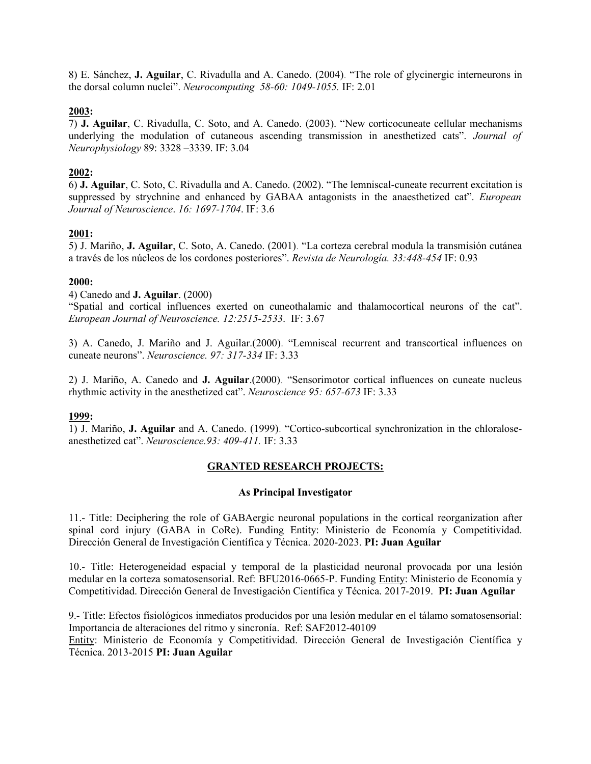8) E. Sánchez, J. Aguilar, C. Rivadulla and A. Canedo. (2004). "The role of glycinergic interneurons in the dorsal column nuclei". Neurocomputing 58-60: 1049-1055. IF: 2.01

## 2003:

7) J. Aguilar, C. Rivadulla, C. Soto, and A. Canedo. (2003). "New corticocuneate cellular mechanisms underlying the modulation of cutaneous ascending transmission in anesthetized cats". Journal of Neurophysiology 89: 3328 –3339. IF: 3.04

# 2002:

6) J. Aguilar, C. Soto, C. Rivadulla and A. Canedo. (2002). "The lemniscal-cuneate recurrent excitation is suppressed by strychnine and enhanced by GABAA antagonists in the anaesthetized cat". European Journal of Neuroscience. 16: 1697-1704. IF: 3.6

# 2001:

5) J. Mariño, J. Aguilar, C. Soto, A. Canedo. (2001). "La corteza cerebral modula la transmisión cutánea a través de los núcleos de los cordones posteriores". Revista de Neurología. 33:448-454 IF: 0.93

## 2000:

## 4) Canedo and J. Aguilar. (2000)

"Spatial and cortical influences exerted on cuneothalamic and thalamocortical neurons of the cat". European Journal of Neuroscience. 12:2515-2533. IF: 3.67

3) A. Canedo, J. Mariño and J. Aguilar.(2000). "Lemniscal recurrent and transcortical influences on cuneate neurons". Neuroscience. 97: 317-334 IF: 3.33

2) J. Mariño, A. Canedo and J. Aguilar.(2000). "Sensorimotor cortical influences on cuneate nucleus rhythmic activity in the anesthetized cat". Neuroscience 95: 657-673 IF: 3.33

## 1999:

1) J. Mariño, J. Aguilar and A. Canedo. (1999). "Cortico-subcortical synchronization in the chloraloseanesthetized cat". Neuroscience.93: 409-411. IF: 3.33

## GRANTED RESEARCH PROJECTS:

## As Principal Investigator

11.- Title: Deciphering the role of GABAergic neuronal populations in the cortical reorganization after spinal cord injury (GABA in CoRe). Funding Entity: Ministerio de Economía y Competitividad. Dirección General de Investigación Científica y Técnica. 2020-2023. PI: Juan Aguilar

10.- Title: Heterogeneidad espacial y temporal de la plasticidad neuronal provocada por una lesión medular en la corteza somatosensorial. Ref: BFU2016-0665-P. Funding Entity: Ministerio de Economía y Competitividad. Dirección General de Investigación Científica y Técnica. 2017-2019. PI: Juan Aguilar

9.- Title: Efectos fisiológicos inmediatos producidos por una lesión medular en el tálamo somatosensorial: Importancia de alteraciones del ritmo y sincronía. Ref: SAF2012-40109

Entity: Ministerio de Economía y Competitividad. Dirección General de Investigación Científica y Técnica. 2013-2015 PI: Juan Aguilar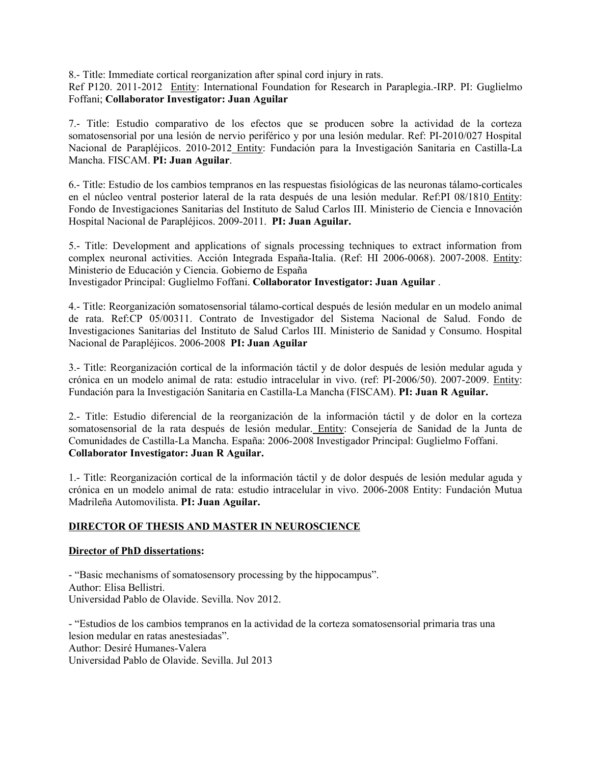8.- Title: Immediate cortical reorganization after spinal cord injury in rats.

Ref P120. 2011-2012 Entity: International Foundation for Research in Paraplegia.-IRP. PI: Guglielmo Foffani; Collaborator Investigator: Juan Aguilar

7.- Title: Estudio comparativo de los efectos que se producen sobre la actividad de la corteza somatosensorial por una lesión de nervio periférico y por una lesión medular. Ref: PI-2010/027 Hospital Nacional de Parapléjicos. 2010-2012 Entity: Fundación para la Investigación Sanitaria en Castilla-La Mancha. FISCAM. PI: Juan Aguilar.

6.- Title: Estudio de los cambios tempranos en las respuestas fisiológicas de las neuronas tálamo-corticales en el núcleo ventral posterior lateral de la rata después de una lesión medular. Ref:PI 08/1810 Entity: Fondo de Investigaciones Sanitarias del Instituto de Salud Carlos III. Ministerio de Ciencia e Innovación Hospital Nacional de Parapléjicos. 2009-2011. PI: Juan Aguilar.

5.- Title: Development and applications of signals processing techniques to extract information from complex neuronal activities. Acción Integrada España-Italia. (Ref: HI 2006-0068). 2007-2008. Entity: Ministerio de Educación y Ciencia. Gobierno de España

Investigador Principal: Guglielmo Foffani. Collaborator Investigator: Juan Aguilar .

4.- Title: Reorganización somatosensorial tálamo-cortical después de lesión medular en un modelo animal de rata. Ref:CP 05/00311. Contrato de Investigador del Sistema Nacional de Salud. Fondo de Investigaciones Sanitarias del Instituto de Salud Carlos III. Ministerio de Sanidad y Consumo. Hospital Nacional de Parapléjicos. 2006-2008 PI: Juan Aguilar

3.- Title: Reorganización cortical de la información táctil y de dolor después de lesión medular aguda y crónica en un modelo animal de rata: estudio intracelular in vivo. (ref: PI-2006/50). 2007-2009. Entity: Fundación para la Investigación Sanitaria en Castilla-La Mancha (FISCAM). PI: Juan R Aguilar.

2.- Title: Estudio diferencial de la reorganización de la información táctil y de dolor en la corteza somatosensorial de la rata después de lesión medular. Entity: Consejería de Sanidad de la Junta de Comunidades de Castilla-La Mancha. España: 2006-2008 Investigador Principal: Guglielmo Foffani. Collaborator Investigator: Juan R Aguilar.

1.- Title: Reorganización cortical de la información táctil y de dolor después de lesión medular aguda y crónica en un modelo animal de rata: estudio intracelular in vivo. 2006-2008 Entity: Fundación Mutua Madrileña Automovilista. PI: Juan Aguilar.

## DIRECTOR OF THESIS AND MASTER IN NEUROSCIENCE

## Director of PhD dissertations:

- "Basic mechanisms of somatosensory processing by the hippocampus". Author: Elisa Bellistri. Universidad Pablo de Olavide. Sevilla. Nov 2012.

- "Estudios de los cambios tempranos en la actividad de la corteza somatosensorial primaria tras una lesion medular en ratas anestesiadas". Author: Desiré Humanes-Valera Universidad Pablo de Olavide. Sevilla. Jul 2013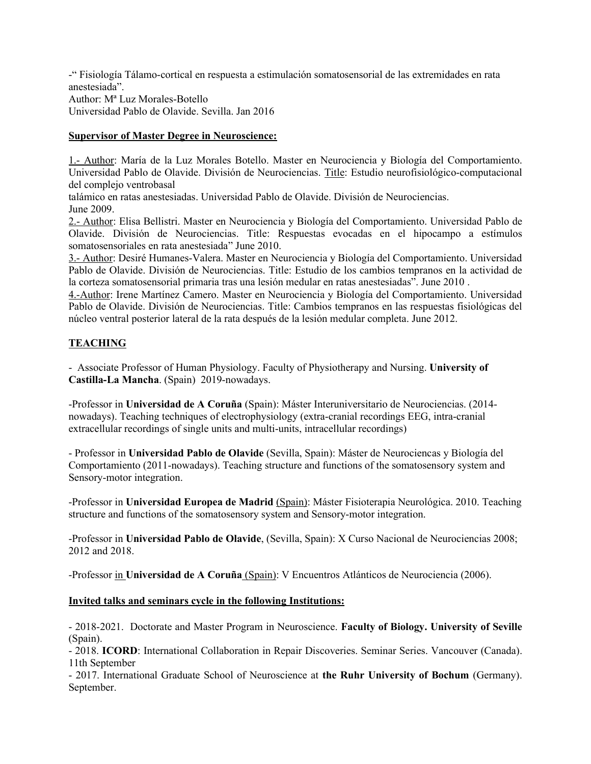-" Fisiología Tálamo-cortical en respuesta a estimulación somatosensorial de las extremidades en rata anestesiada". Author: Mª Luz Morales-Botello Universidad Pablo de Olavide. Sevilla. Jan 2016

# Supervisor of Master Degree in Neuroscience:

1.- Author: María de la Luz Morales Botello. Master en Neurociencia y Biología del Comportamiento. Universidad Pablo de Olavide. División de Neurociencias. Title: Estudio neurofisiológico-computacional del complejo ventrobasal

talámico en ratas anestesiadas. Universidad Pablo de Olavide. División de Neurociencias. June 2009.

2.- Author: Elisa Bellistri. Master en Neurociencia y Biología del Comportamiento. Universidad Pablo de Olavide. División de Neurociencias. Title: Respuestas evocadas en el hipocampo a estímulos somatosensoriales en rata anestesiada" June 2010.

3.- Author: Desiré Humanes-Valera. Master en Neurociencia y Biología del Comportamiento. Universidad Pablo de Olavide. División de Neurociencias. Title: Estudio de los cambios tempranos en la actividad de la corteza somatosensorial primaria tras una lesión medular en ratas anestesiadas". June 2010 .

4.-Author: Irene Martínez Camero. Master en Neurociencia y Biología del Comportamiento. Universidad Pablo de Olavide. División de Neurociencias. Title: Cambios tempranos en las respuestas fisiológicas del núcleo ventral posterior lateral de la rata después de la lesión medular completa. June 2012.

# TEACHING

- Associate Professor of Human Physiology. Faculty of Physiotherapy and Nursing. University of Castilla-La Mancha. (Spain) 2019-nowadays.

-Professor in Universidad de A Coruña (Spain): Máster Interuniversitario de Neurociencias. (2014 nowadays). Teaching techniques of electrophysiology (extra-cranial recordings EEG, intra-cranial extracellular recordings of single units and multi-units, intracellular recordings)

- Professor in Universidad Pablo de Olavide (Sevilla, Spain): Máster de Neurociencas y Biología del Comportamiento (2011-nowadays). Teaching structure and functions of the somatosensory system and Sensory-motor integration.

-Professor in Universidad Europea de Madrid (Spain): Máster Fisioterapia Neurológica. 2010. Teaching structure and functions of the somatosensory system and Sensory-motor integration.

-Professor in Universidad Pablo de Olavide, (Sevilla, Spain): X Curso Nacional de Neurociencias 2008; 2012 and 2018.

-Professor in Universidad de A Coruña (Spain): V Encuentros Atlánticos de Neurociencia (2006).

## Invited talks and seminars cycle in the following Institutions:

- 2018-2021. Doctorate and Master Program in Neuroscience. Faculty of Biology. University of Seville (Spain).

- 2018. ICORD: International Collaboration in Repair Discoveries. Seminar Series. Vancouver (Canada). 11th September

- 2017. International Graduate School of Neuroscience at the Ruhr University of Bochum (Germany). September.